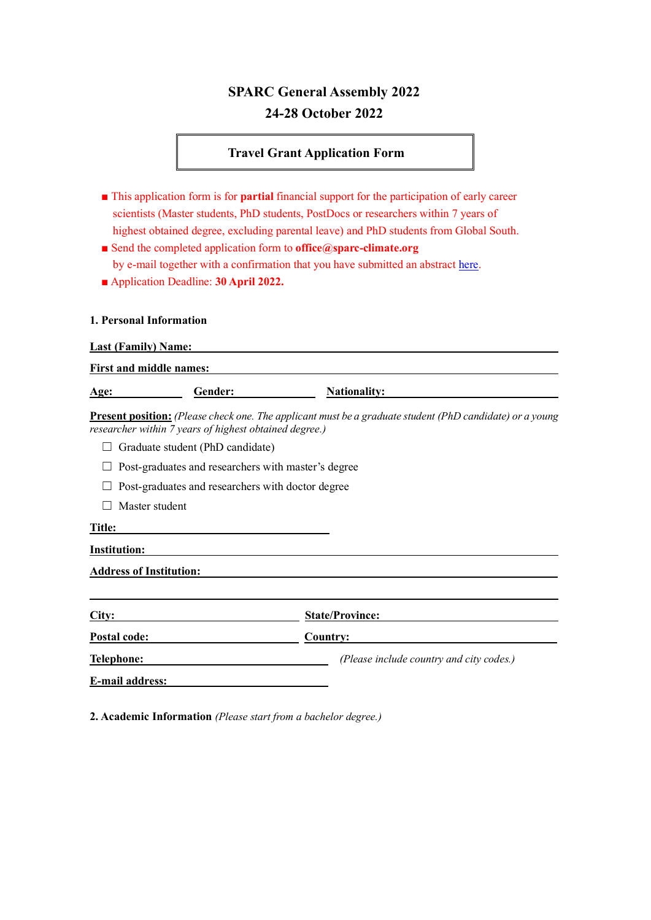# **SPARC General Assembly 2022 24-28 October 2022**

## **Travel Grant Application Form**

- This application form is for **partial** financial support for the participation of early career scientists (Master students, PhD students, PostDocs or researchers within 7 years of highest obtained degree, excluding parental leave) and PhD students from Global South.
- Send the completed application form to **office@sparc-climate.org** by e-mail together with a confirmation that you have submitted an abstract [here.](https://forms.office.com/Pages/ResponsePage.aspx?id=DQSIkWdsW0yxEjajBLZtrQAAAAAAAAAAAAO__SmUDHJUNTdaMVk1QjFYREZGM05aVjRFNTczSUVUUS4u)
- Application Deadline: **30 April 2022.**

#### **1. Personal Information**

**Last (Family) Name:** 

| <b>First and middle names:</b> |         |                                                                                                                 |  |  |  |
|--------------------------------|---------|-----------------------------------------------------------------------------------------------------------------|--|--|--|
| Age:                           | Gender: | <b>Nationality:</b>                                                                                             |  |  |  |
|                                |         | <b>Present position:</b> (Please check one. The applicant must be a graduate student (PhD candidate) or a young |  |  |  |

*researcher within 7 years of highest obtained degree.)*

- □ Graduate student (PhD candidate)
- □ Post-graduates and researchers with master's degree
- □ Post-graduates and researchers with doctor degree
- □ Master student

#### **Title:**

**Institution:** 

**Address of Institution:** 

| City:                  | <b>State/Province:</b>                   |  |
|------------------------|------------------------------------------|--|
| Postal code:           | Country:                                 |  |
| Telephone:             | (Please include country and city codes.) |  |
| <b>E-mail address:</b> |                                          |  |

**2. Academic Information** *(Please start from a bachelor degree.)*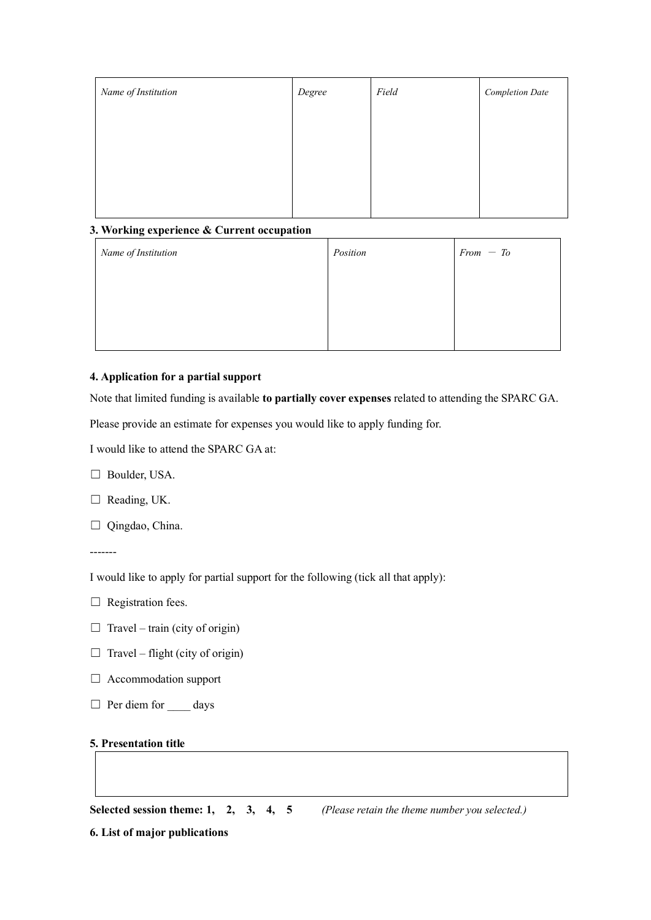| Name of Institution | Degree | Field | <b>Completion Date</b> |
|---------------------|--------|-------|------------------------|
|                     |        |       |                        |
|                     |        |       |                        |
|                     |        |       |                        |
|                     |        |       |                        |

## **3. Working experience & Current occupation**

| Name of Institution | Position | $From - To$ |
|---------------------|----------|-------------|
|                     |          |             |
|                     |          |             |
|                     |          |             |

## **4. Application for a partial support**

Note that limited funding is available **to partially cover expenses** related to attending the SPARC GA.

Please provide an estimate for expenses you would like to apply funding for.

I would like to attend the SPARC GA at:

□ Boulder, USA.

□ Reading, UK.

□ Qingdao, China.

-------

I would like to apply for partial support for the following (tick all that apply):

- □ Registration fees.
- $\Box$  Travel train (city of origin)
- $\Box$  Travel flight (city of origin)
- $\Box$  Accommodation support
- □ Per diem for \_\_\_\_ days

### **5. Presentation title**

**Selected session theme: 1, 2, 3, 4, 5** *(Please retain the theme number you selected.)*

**6. List of major publications**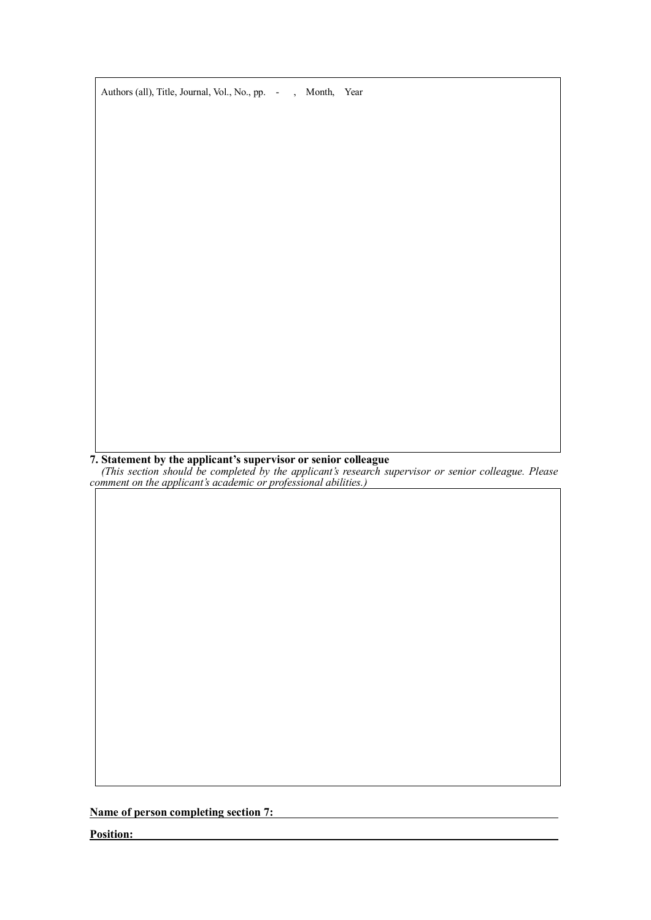

**7. Statement by the applicant's supervisor or senior colleague**

*(This section should be completed by the applicant's research supervisor or senior colleague. Please comment on the applicant's academic or professional abilities.)*

**Name of person completing section 7:** 

**Position:**